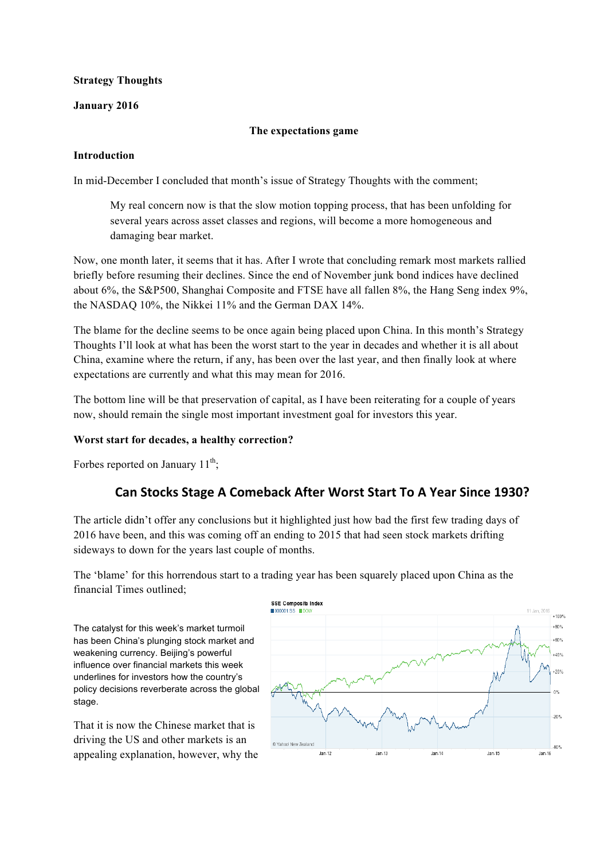### **Strategy Thoughts**

### **January 2016**

### **The expectations game**

### **Introduction**

In mid-December I concluded that month's issue of Strategy Thoughts with the comment;

My real concern now is that the slow motion topping process, that has been unfolding for several years across asset classes and regions, will become a more homogeneous and damaging bear market.

Now, one month later, it seems that it has. After I wrote that concluding remark most markets rallied briefly before resuming their declines. Since the end of November junk bond indices have declined about 6%, the S&P500, Shanghai Composite and FTSE have all fallen 8%, the Hang Seng index 9%, the NASDAQ 10%, the Nikkei 11% and the German DAX 14%.

The blame for the decline seems to be once again being placed upon China. In this month's Strategy Thoughts I'll look at what has been the worst start to the year in decades and whether it is all about China, examine where the return, if any, has been over the last year, and then finally look at where expectations are currently and what this may mean for 2016.

The bottom line will be that preservation of capital, as I have been reiterating for a couple of years now, should remain the single most important investment goal for investors this year.

### **Worst start for decades, a healthy correction?**

Forbes reported on January  $11^{th}$ ;

## **Can Stocks Stage A Comeback After Worst Start To A Year Since 1930?**

The article didn't offer any conclusions but it highlighted just how bad the first few trading days of 2016 have been, and this was coming off an ending to 2015 that had seen stock markets drifting sideways to down for the years last couple of months.

The 'blame' for this horrendous start to a trading year has been squarely placed upon China as the financial Times outlined;

The catalyst for this week's market turmoil has been China's plunging stock market and weakening currency. Beijing's powerful influence over financial markets this week underlines for investors how the country's policy decisions reverberate across the global stage.

That it is now the Chinese market that is driving the US and other markets is an appealing explanation, however, why the

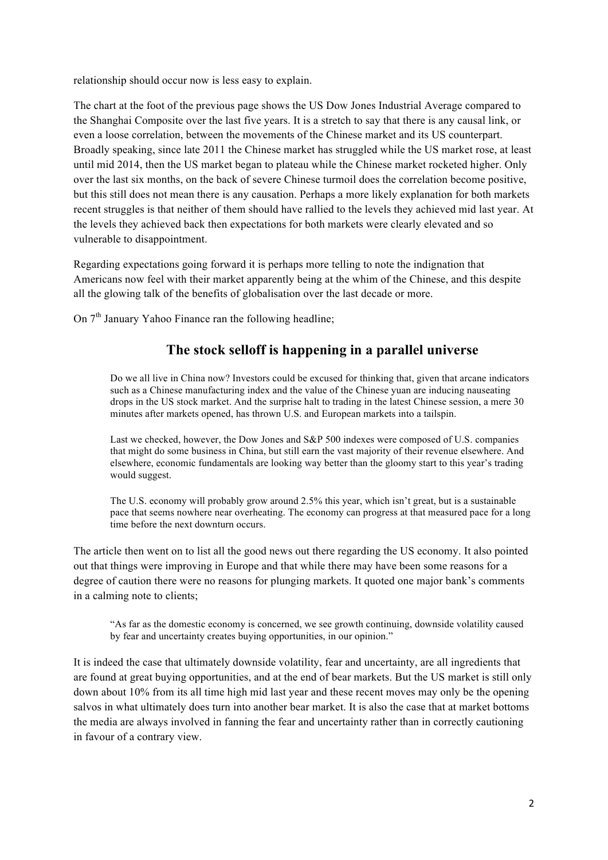relationship should occur now is less easy to explain.

The chart at the foot of the previous page shows the US Dow Jones Industrial Average compared to the Shanghai Composite over the last five years. It is a stretch to say that there is any causal link, or even a loose correlation, between the movements of the Chinese market and its US counterpart. Broadly speaking, since late 2011 the Chinese market has struggled while the US market rose, at least until mid 2014, then the US market began to plateau while the Chinese market rocketed higher. Only over the last six months, on the back of severe Chinese turmoil does the correlation become positive, but this still does not mean there is any causation. Perhaps a more likely explanation for both markets recent struggles is that neither of them should have rallied to the levels they achieved mid last year. At the levels they achieved back then expectations for both markets were clearly elevated and so vulnerable to disappointment.

Regarding expectations going forward it is perhaps more telling to note the indignation that Americans now feel with their market apparently being at the whim of the Chinese, and this despite all the glowing talk of the benefits of globalisation over the last decade or more.

On  $7<sup>th</sup>$  January Yahoo Finance ran the following headline:

## **The stock selloff is happening in a parallel universe**

Do we all live in China now? Investors could be excused for thinking that, given that arcane indicators such as a Chinese manufacturing index and the value of the Chinese yuan are inducing nauseating drops in the US stock market. And the surprise halt to trading in the latest Chinese session, a mere 30 minutes after markets opened, has thrown U.S. and European markets into a tailspin.

Last we checked, however, the Dow Jones and S&P 500 indexes were composed of U.S. companies that might do some business in China, but still earn the vast majority of their revenue elsewhere. And elsewhere, economic fundamentals are looking way better than the gloomy start to this year's trading would suggest.

The U.S. economy will probably grow around 2.5% this year, which isn't great, but is a sustainable pace that seems nowhere near overheating. The economy can progress at that measured pace for a long time before the next downturn occurs.

The article then went on to list all the good news out there regarding the US economy. It also pointed out that things were improving in Europe and that while there may have been some reasons for a degree of caution there were no reasons for plunging markets. It quoted one major bank's comments in a calming note to clients;

"As far as the domestic economy is concerned, we see growth continuing, downside volatility caused by fear and uncertainty creates buying opportunities, in our opinion."

It is indeed the case that ultimately downside volatility, fear and uncertainty, are all ingredients that are found at great buying opportunities, and at the end of bear markets. But the US market is still only down about 10% from its all time high mid last year and these recent moves may only be the opening salvos in what ultimately does turn into another bear market. It is also the case that at market bottoms the media are always involved in fanning the fear and uncertainty rather than in correctly cautioning in favour of a contrary view.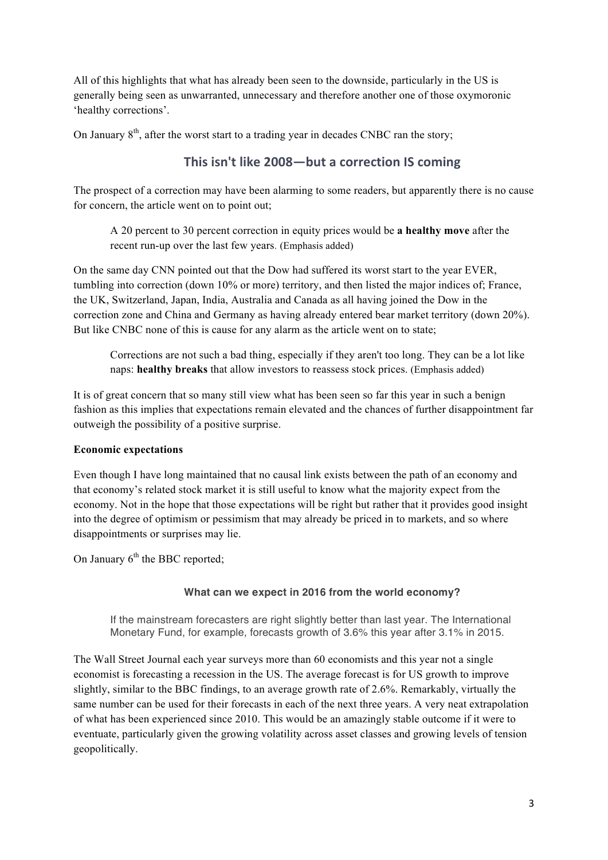All of this highlights that what has already been seen to the downside, particularly in the US is generally being seen as unwarranted, unnecessary and therefore another one of those oxymoronic 'healthy corrections'.

On January  $8<sup>th</sup>$ , after the worst start to a trading year in decades CNBC ran the story;

### This isn't like 2008—but a correction IS coming

The prospect of a correction may have been alarming to some readers, but apparently there is no cause for concern, the article went on to point out;

A 20 percent to 30 percent correction in equity prices would be **a healthy move** after the recent run-up over the last few years. (Emphasis added)

On the same day CNN pointed out that the Dow had suffered its worst start to the year EVER, tumbling into correction (down 10% or more) territory, and then listed the major indices of; France, the UK, Switzerland, Japan, India, Australia and Canada as all having joined the Dow in the correction zone and China and Germany as having already entered bear market territory (down 20%). But like CNBC none of this is cause for any alarm as the article went on to state;

Corrections are not such a bad thing, especially if they aren't too long. They can be a lot like naps: **healthy breaks** that allow investors to reassess stock prices. (Emphasis added)

It is of great concern that so many still view what has been seen so far this year in such a benign fashion as this implies that expectations remain elevated and the chances of further disappointment far outweigh the possibility of a positive surprise.

### **Economic expectations**

Even though I have long maintained that no causal link exists between the path of an economy and that economy's related stock market it is still useful to know what the majority expect from the economy. Not in the hope that those expectations will be right but rather that it provides good insight into the degree of optimism or pessimism that may already be priced in to markets, and so where disappointments or surprises may lie.

On January  $6<sup>th</sup>$  the BBC reported;

### **What can we expect in 2016 from the world economy?**

If the mainstream forecasters are right slightly better than last year. The International Monetary Fund, for example, forecasts growth of 3.6% this year after 3.1% in 2015.

The Wall Street Journal each year surveys more than 60 economists and this year not a single economist is forecasting a recession in the US. The average forecast is for US growth to improve slightly, similar to the BBC findings, to an average growth rate of 2.6%. Remarkably, virtually the same number can be used for their forecasts in each of the next three years. A very neat extrapolation of what has been experienced since 2010. This would be an amazingly stable outcome if it were to eventuate, particularly given the growing volatility across asset classes and growing levels of tension geopolitically.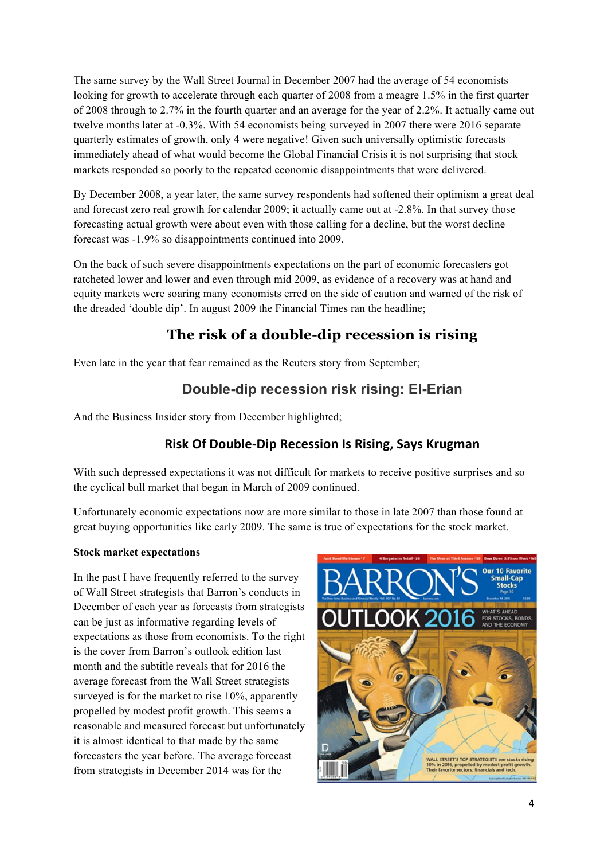The same survey by the Wall Street Journal in December 2007 had the average of 54 economists looking for growth to accelerate through each quarter of 2008 from a meagre 1.5% in the first quarter of 2008 through to 2.7% in the fourth quarter and an average for the year of 2.2%. It actually came out twelve months later at -0.3%. With 54 economists being surveyed in 2007 there were 2016 separate quarterly estimates of growth, only 4 were negative! Given such universally optimistic forecasts immediately ahead of what would become the Global Financial Crisis it is not surprising that stock markets responded so poorly to the repeated economic disappointments that were delivered.

By December 2008, a year later, the same survey respondents had softened their optimism a great deal and forecast zero real growth for calendar 2009; it actually came out at -2.8%. In that survey those forecasting actual growth were about even with those calling for a decline, but the worst decline forecast was -1.9% so disappointments continued into 2009.

On the back of such severe disappointments expectations on the part of economic forecasters got ratcheted lower and lower and even through mid 2009, as evidence of a recovery was at hand and equity markets were soaring many economists erred on the side of caution and warned of the risk of the dreaded 'double dip'. In august 2009 the Financial Times ran the headline;

# **The risk of a double-dip recession is rising**

Even late in the year that fear remained as the Reuters story from September;

# **Double-dip recession risk rising: El-Erian**

And the Business Insider story from December highlighted;

## **Risk Of Double-Dip Recession Is Rising, Says Krugman**

With such depressed expectations it was not difficult for markets to receive positive surprises and so the cyclical bull market that began in March of 2009 continued.

Unfortunately economic expectations now are more similar to those in late 2007 than those found at great buying opportunities like early 2009. The same is true of expectations for the stock market.

### **Stock market expectations**

In the past I have frequently referred to the survey of Wall Street strategists that Barron's conducts in December of each year as forecasts from strategists can be just as informative regarding levels of expectations as those from economists. To the right is the cover from Barron's outlook edition last month and the subtitle reveals that for 2016 the average forecast from the Wall Street strategists surveyed is for the market to rise 10%, apparently propelled by modest profit growth. This seems a reasonable and measured forecast but unfortunately it is almost identical to that made by the same forecasters the year before. The average forecast from strategists in December 2014 was for the

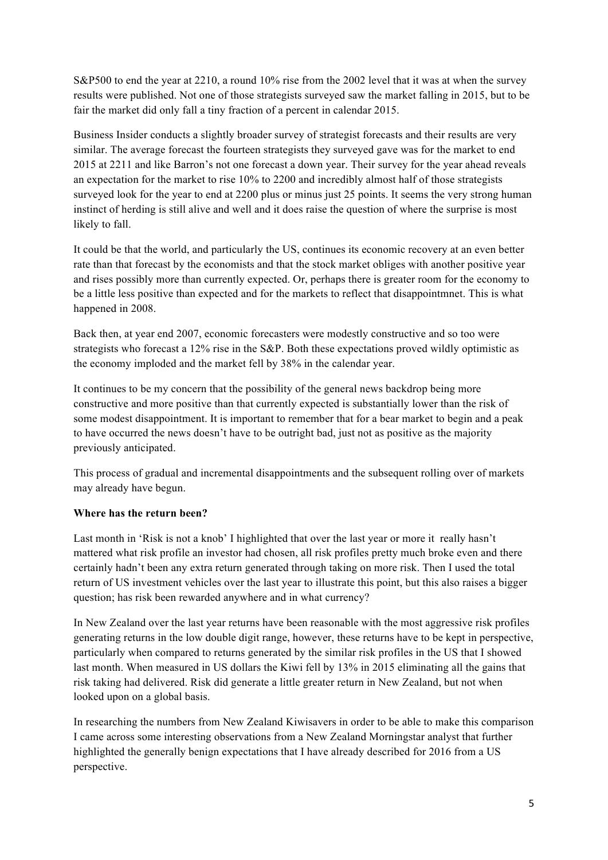S&P500 to end the year at 2210, a round 10% rise from the 2002 level that it was at when the survey results were published. Not one of those strategists surveyed saw the market falling in 2015, but to be fair the market did only fall a tiny fraction of a percent in calendar 2015.

Business Insider conducts a slightly broader survey of strategist forecasts and their results are very similar. The average forecast the fourteen strategists they surveyed gave was for the market to end 2015 at 2211 and like Barron's not one forecast a down year. Their survey for the year ahead reveals an expectation for the market to rise 10% to 2200 and incredibly almost half of those strategists surveyed look for the year to end at 2200 plus or minus just 25 points. It seems the very strong human instinct of herding is still alive and well and it does raise the question of where the surprise is most likely to fall.

It could be that the world, and particularly the US, continues its economic recovery at an even better rate than that forecast by the economists and that the stock market obliges with another positive year and rises possibly more than currently expected. Or, perhaps there is greater room for the economy to be a little less positive than expected and for the markets to reflect that disappointmnet. This is what happened in 2008.

Back then, at year end 2007, economic forecasters were modestly constructive and so too were strategists who forecast a 12% rise in the S&P. Both these expectations proved wildly optimistic as the economy imploded and the market fell by 38% in the calendar year.

It continues to be my concern that the possibility of the general news backdrop being more constructive and more positive than that currently expected is substantially lower than the risk of some modest disappointment. It is important to remember that for a bear market to begin and a peak to have occurred the news doesn't have to be outright bad, just not as positive as the majority previously anticipated.

This process of gradual and incremental disappointments and the subsequent rolling over of markets may already have begun.

### **Where has the return been?**

Last month in 'Risk is not a knob' I highlighted that over the last year or more it really hasn't mattered what risk profile an investor had chosen, all risk profiles pretty much broke even and there certainly hadn't been any extra return generated through taking on more risk. Then I used the total return of US investment vehicles over the last year to illustrate this point, but this also raises a bigger question; has risk been rewarded anywhere and in what currency?

In New Zealand over the last year returns have been reasonable with the most aggressive risk profiles generating returns in the low double digit range, however, these returns have to be kept in perspective, particularly when compared to returns generated by the similar risk profiles in the US that I showed last month. When measured in US dollars the Kiwi fell by 13% in 2015 eliminating all the gains that risk taking had delivered. Risk did generate a little greater return in New Zealand, but not when looked upon on a global basis.

In researching the numbers from New Zealand Kiwisavers in order to be able to make this comparison I came across some interesting observations from a New Zealand Morningstar analyst that further highlighted the generally benign expectations that I have already described for 2016 from a US perspective.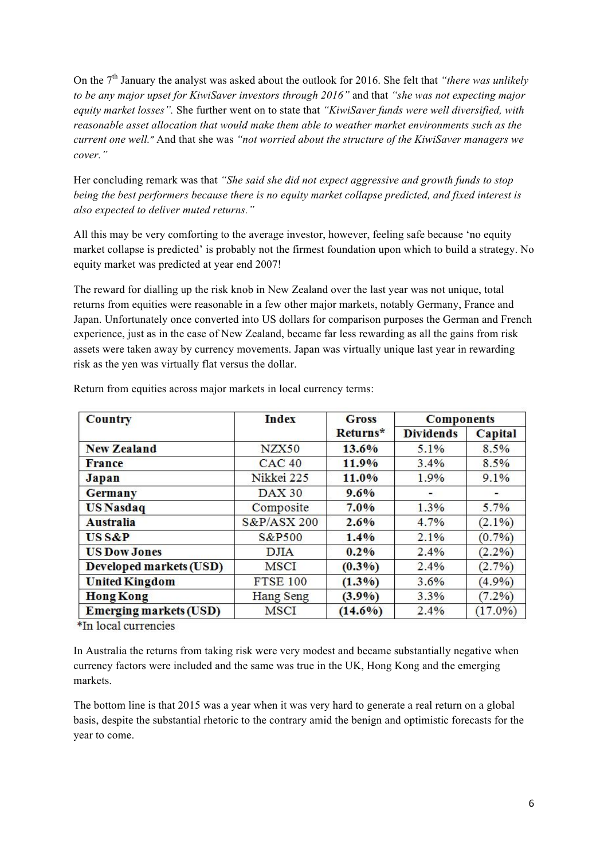On the 7<sup>th</sup> January the analyst was asked about the outlook for 2016. She felt that *"there was unlikely to be any major upset for KiwiSaver investors through 2016"* and that *"she was not expecting major equity market losses".* She further went on to state that *"KiwiSaver funds were well diversified, with reasonable asset allocation that would make them able to weather market environments such as the current one well."* And that she was *"not worried about the structure of the KiwiSaver managers we cover."*

Her concluding remark was that *"She said she did not expect aggressive and growth funds to stop being the best performers because there is no equity market collapse predicted, and fixed interest is also expected to deliver muted returns."*

All this may be very comforting to the average investor, however, feeling safe because 'no equity market collapse is predicted' is probably not the firmest foundation upon which to build a strategy. No equity market was predicted at year end 2007!

The reward for dialling up the risk knob in New Zealand over the last year was not unique, total returns from equities were reasonable in a few other major markets, notably Germany, France and Japan. Unfortunately once converted into US dollars for comparison purposes the German and French experience, just as in the case of New Zealand, became far less rewarding as all the gains from risk assets were taken away by currency movements. Japan was virtually unique last year in rewarding risk as the yen was virtually flat versus the dollar.

| <b>Country</b>                | <b>Index</b>    | <b>Gross</b> | <b>Components</b> |            |
|-------------------------------|-----------------|--------------|-------------------|------------|
|                               |                 | Returns*     | <b>Dividends</b>  | Capital    |
| <b>New Zealand</b>            | NZX50           | 13.6%        | 5.1%              | 8.5%       |
| <b>France</b>                 | <b>CAC 40</b>   | 11.9%        | 3.4%              | 8.5%       |
| Japan                         | Nikkei 225      | 11.0%        | 1.9%              | 9.1%       |
| <b>Germany</b>                | <b>DAX 30</b>   | 9.6%         |                   |            |
| <b>US</b> Nasdaq              | Composite       | 7.0%         | 1.3%              | 5.7%       |
| <b>Australia</b>              | S&P/ASX 200     | $2.6\%$      | 4.7%              | $(2.1\%)$  |
| <b>USS&amp;P</b>              | S&P500          | 1.4%         | 2.1%              | $(0.7\%)$  |
| <b>US Dow Jones</b>           | <b>DJIA</b>     | $0.2\%$      | 2.4%              | $(2.2\%)$  |
| Developed markets (USD)       | MSCI            | $(0.3\%)$    | 2.4%              | $(2.7\%)$  |
| <b>United Kingdom</b>         | <b>FTSE 100</b> | $(1.3\%)$    | 3.6%              | (4.9%)     |
| <b>Hong Kong</b>              | Hang Seng       | $(3.9\%)$    | 3.3%              | $(7.2\%)$  |
| <b>Emerging markets (USD)</b> | <b>MSCI</b>     | $(14.6\%)$   | 2.4%              | $(17.0\%)$ |

Return from equities across major markets in local currency terms:

\*In local currencies

In Australia the returns from taking risk were very modest and became substantially negative when currency factors were included and the same was true in the UK, Hong Kong and the emerging markets.

The bottom line is that 2015 was a year when it was very hard to generate a real return on a global basis, despite the substantial rhetoric to the contrary amid the benign and optimistic forecasts for the year to come.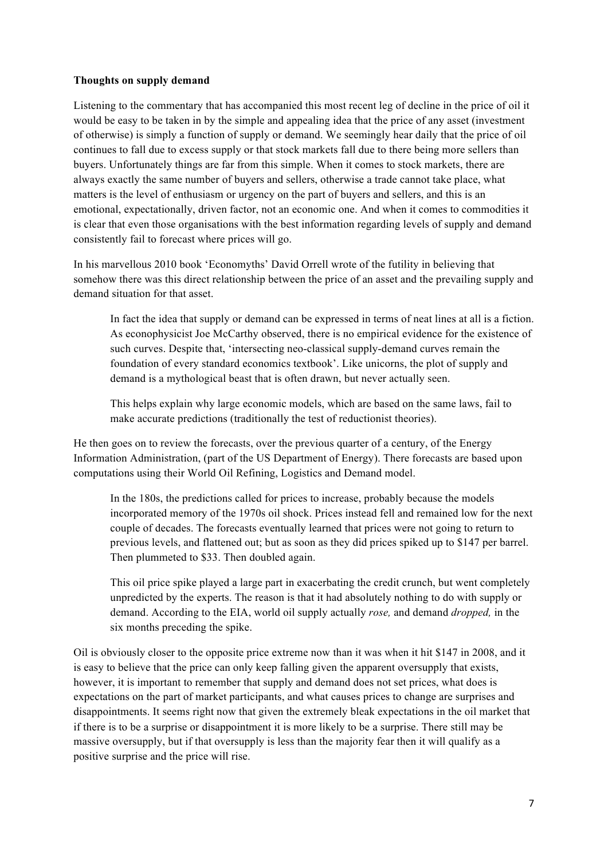### **Thoughts on supply demand**

Listening to the commentary that has accompanied this most recent leg of decline in the price of oil it would be easy to be taken in by the simple and appealing idea that the price of any asset (investment of otherwise) is simply a function of supply or demand. We seemingly hear daily that the price of oil continues to fall due to excess supply or that stock markets fall due to there being more sellers than buyers. Unfortunately things are far from this simple. When it comes to stock markets, there are always exactly the same number of buyers and sellers, otherwise a trade cannot take place, what matters is the level of enthusiasm or urgency on the part of buyers and sellers, and this is an emotional, expectationally, driven factor, not an economic one. And when it comes to commodities it is clear that even those organisations with the best information regarding levels of supply and demand consistently fail to forecast where prices will go.

In his marvellous 2010 book 'Economyths' David Orrell wrote of the futility in believing that somehow there was this direct relationship between the price of an asset and the prevailing supply and demand situation for that asset.

In fact the idea that supply or demand can be expressed in terms of neat lines at all is a fiction. As econophysicist Joe McCarthy observed, there is no empirical evidence for the existence of such curves. Despite that, 'intersecting neo-classical supply-demand curves remain the foundation of every standard economics textbook'. Like unicorns, the plot of supply and demand is a mythological beast that is often drawn, but never actually seen.

This helps explain why large economic models, which are based on the same laws, fail to make accurate predictions (traditionally the test of reductionist theories).

He then goes on to review the forecasts, over the previous quarter of a century, of the Energy Information Administration, (part of the US Department of Energy). There forecasts are based upon computations using their World Oil Refining, Logistics and Demand model.

In the 180s, the predictions called for prices to increase, probably because the models incorporated memory of the 1970s oil shock. Prices instead fell and remained low for the next couple of decades. The forecasts eventually learned that prices were not going to return to previous levels, and flattened out; but as soon as they did prices spiked up to \$147 per barrel. Then plummeted to \$33. Then doubled again.

This oil price spike played a large part in exacerbating the credit crunch, but went completely unpredicted by the experts. The reason is that it had absolutely nothing to do with supply or demand. According to the EIA, world oil supply actually *rose,* and demand *dropped,* in the six months preceding the spike.

Oil is obviously closer to the opposite price extreme now than it was when it hit \$147 in 2008, and it is easy to believe that the price can only keep falling given the apparent oversupply that exists, however, it is important to remember that supply and demand does not set prices, what does is expectations on the part of market participants, and what causes prices to change are surprises and disappointments. It seems right now that given the extremely bleak expectations in the oil market that if there is to be a surprise or disappointment it is more likely to be a surprise. There still may be massive oversupply, but if that oversupply is less than the majority fear then it will qualify as a positive surprise and the price will rise.